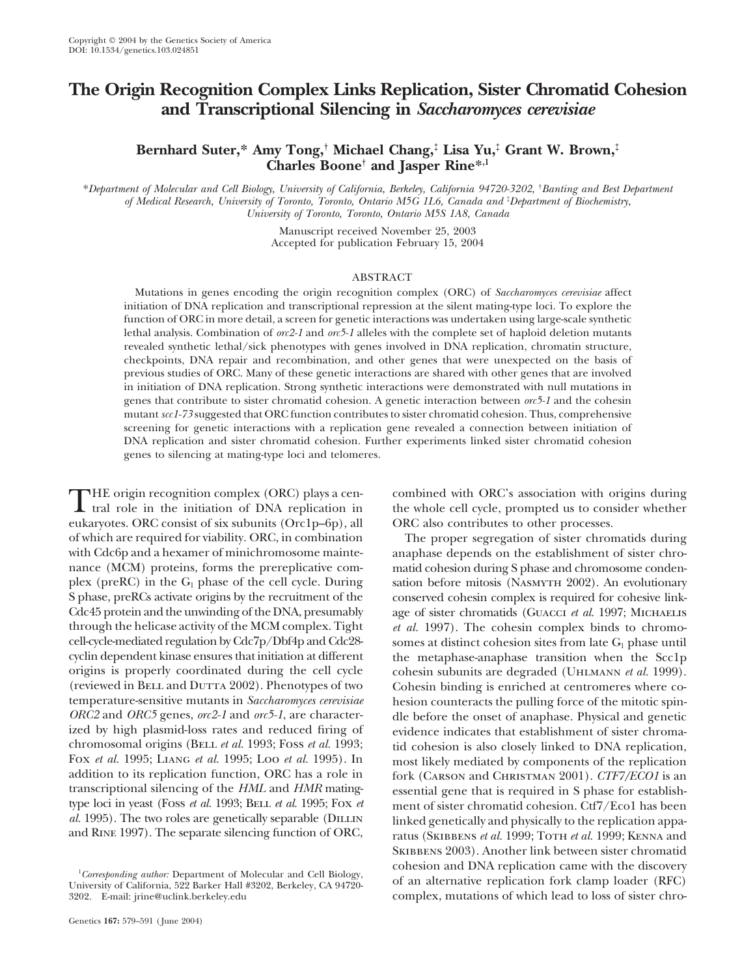# **The Origin Recognition Complex Links Replication, Sister Chromatid Cohesion and Transcriptional Silencing in** *Saccharomyces cerevisiae*

# **Bernhard Suter,\* Amy Tong,† Michael Chang,‡ Lisa Yu,‡ Grant W. Brown,‡ Charles Boone† and Jasper Rine\*,1**

\**Department of Molecular and Cell Biology, University of California, Berkeley, California 94720-3202,* † *Banting and Best Department of Medical Research, University of Toronto, Toronto, Ontario M5G 1L6, Canada and* ‡ *Department of Biochemistry, University of Toronto, Toronto, Ontario M5S 1A8, Canada*

> Manuscript received November 25, 2003 Accepted for publication February 15, 2004

### ABSTRACT

Mutations in genes encoding the origin recognition complex (ORC) of *Saccharomyces cerevisiae* affect initiation of DNA replication and transcriptional repression at the silent mating-type loci. To explore the function of ORC in more detail, a screen for genetic interactions was undertaken using large-scale synthetic lethal analysis. Combination of *orc2-1* and *orc5-1* alleles with the complete set of haploid deletion mutants revealed synthetic lethal/sick phenotypes with genes involved in DNA replication, chromatin structure, checkpoints, DNA repair and recombination, and other genes that were unexpected on the basis of previous studies of ORC. Many of these genetic interactions are shared with other genes that are involved in initiation of DNA replication. Strong synthetic interactions were demonstrated with null mutations in genes that contribute to sister chromatid cohesion. A genetic interaction between *orc5-1* and the cohesin mutant *scc1-73* suggested that ORC function contributes to sister chromatid cohesion. Thus, comprehensive screening for genetic interactions with a replication gene revealed a connection between initiation of DNA replication and sister chromatid cohesion. Further experiments linked sister chromatid cohesion genes to silencing at mating-type loci and telomeres.

THE origin recognition complex (ORC) plays a cen-<br>tral role in the initiation of DNA replication in the whole cell cycle, prompted us to consider whether<br>conservates. ORC consist of six arbunity (Oral of fa) all ORC also p eukaryotes. ORC consist of six subunits (Orc1p–6p), all ORC also contributes to other processes. of which are required for viability. ORC, in combination The proper segregation of sister chromatids during with Cdc6p and a hexamer of minichromosome mainte- anaphase depends on the establishment of sister chronance (MCM) proteins, forms the prereplicative com- matid cohesion during S phase and chromosome condenplex (preRC) in the  $G_1$  phase of the cell cycle. During sation before mitosis (NASMYTH 2002). An evolutionary S phase, preRCs activate origins by the recruitment of the conserved cohesin complex is required for cohesive link-Cdc45 protein and the unwinding of the DNA, presumably age of sister chromatids (Guacci *et al.* 1997; MICHAELIS through the helicase activity of the MCM complex. Tight *et al.* 1997). The cohesin complex binds to chromo-<br>cell-cycle-mediated regulation by Cdc<sup>7</sup>p/Dbf4p and Cdc28-<br>somes at distinct cohesion sites from late  $G_1$  phas cyclin dependent kinase ensures that initiation at different the metaphase-anaphase transition when the Scc1p origins is properly coordinated during the cell cycle cohesin subunits are degraded (UHLMANN *et al.* 1999).<br>
(reviewed in BELL and DUTTA 2002). Phenotypes of two Cohesin binding is enriched at centromeres where co-(reviewed in BELL and DUTTA 2002). Phenotypes of two<br>temperature-sensitive mutants in *Saccharomyces cerevisiae* hesion counteracts the pulling force of the mitotic spintemperature-sensitive mutants in *Saccharomyces cerevisiae* hesion counteracts the pulling force of the mitotic spin-<br>ORC2 and ORC5 genes, orc2-1 and orc5-1, are character-<br>dle before the onset of anaphase. Physical and ge *ORC2* and *ORC5* genes, *orc2-1* and *orc5-1*, are character- dle before the onset of anaphase. Physical and genetic ized by high plasmid-loss rates and reduced firing of evidence indicates that establishment of sister ch ized by high plasmid-loss rates and reduced firing of evidence indicates that establishment of sister chroma-<br>chromosomal origins (BELL *et al.* 1993; Foss *et al.* 1993; tid cohesion is also closely linked to DNA replicat chromosomal origins (BELL *et al.* 1993; Foss *et al.* 1993; tid cohesion is also closely linked to DNA replication, Fox *et al.* 1995; LIANG *et al.* 1995; LOO *et al.* 1995). In most likely mediated by components of the FOX *et al.* 1995; LIANG *et al.* 1995; Loo *et al.* 1995). In most likely mediated by components of the replication addition to its replication function, ORC has a role in fork (CARSON and CHRISTMAN 2001). *CTF7/FCO1* is addition to its replication function, ORC has a role in fork (CARSON and CHRISTMAN 2001). *CTF7/ECO1* is an transcriptional silencing of the *HML* and *HMR* mating-essential gene that is required in S phase for establishtranscriptional silencing of the *HML* and *HMR* mating-<br>type loci in yeast (Foss *et al.* 1993; BELL *et al.* 1995; Fox *et* ment of sister chromatid cohesion. Ctf7/Eco1 has been type loci in yeast (Foss *et al.* 1993; BELL *et al.* 1995; Fox *et* ment of sister chromatid cohesion. Ctf7/Eco1 has been *al.* 1995). The two roles are genetically separable (DILLIN) linked genetically and physically to

somes at distinct cohesion sites from late  $G_1$  phase until linked genetically and physically to the replication appaand RINE 1997). The separate silencing function of ORC, ratus (SKIBBENS *et al.* 1999; TOTH *et al.* 1999; KENNA and SKIBBENS 2003). Another link between sister chromatid <sup>1</sup>Corresponding author: Department of Molecular and Cell Biology,<br><sup>1</sup>Corresponding author: Department of Molecular and Cell Biology, 3202. E-mail: jrine@uclink.berkeley.edu complex, mutations of which lead to loss of sister chro-

*Corresponding author:* Department of Molecular and Cell Biology, of an alternative replication fork clamp loader (RFC) University of California, 522 Barker Hall #3202, Berkeley, CA 94720-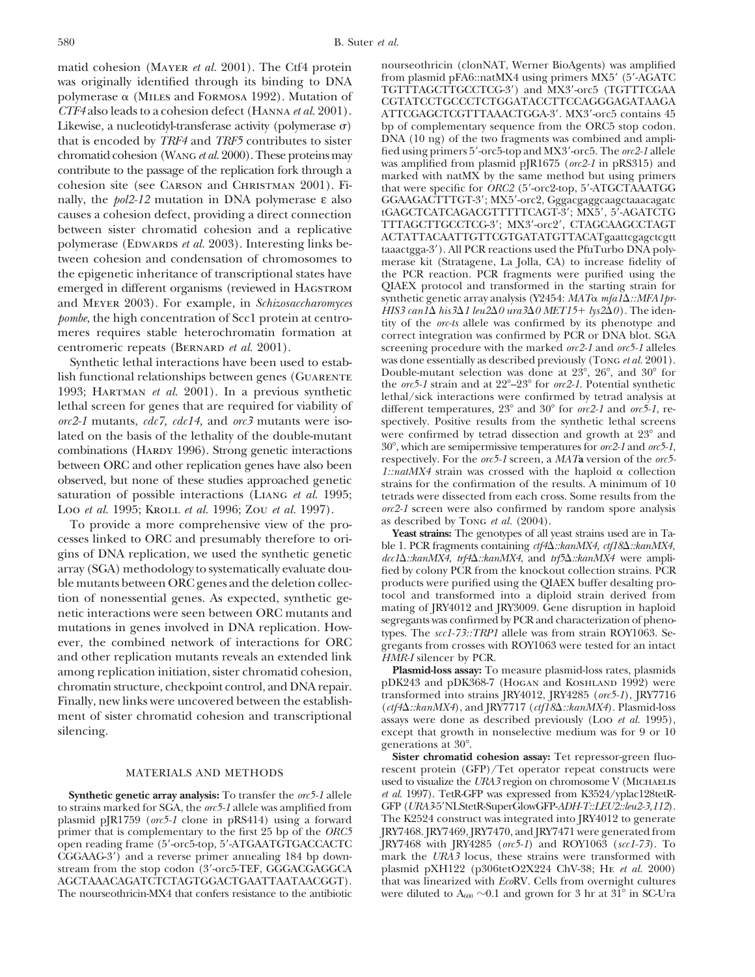matid cohesion (MAYER *et al.* 2001). The Ctf4 protein nourseothricin (clonNAT, Werner BioAgents) was amplified<br>transference originally identified through its binding to DNA from plasmid pFA6::natMX4 using primers MX5' (5' from plasmid pFA6::natMX4 using primers MX5 (5-AGATC polymerase α (MILES and FORMOSA 1992). Mutation of TGTTTAGCTCGCTCGCAA ports (TGTTCGAA polymerase α (MILES and FORMOSA 1992). Mutation of  $T$ GTTTCGTCGCAA ports (TGTTCGAC on polymerase α (MILES and FORMOSA 1992). Mutation of CGTATCCTGCCCTCTGGATACCTTCCAGGGAGATAAGA<br>CTF4 also leads to a cohesion defect (HANNA *et al.* 2001). ATTCGAGCTCGTTTAAACTGGA-3' MX3'-orc5 contains 45 Likewise, a nucleotidyl-transferase activity (polymerase  $\sigma$ ) bp of complementary sequence from the ORC5 stop codon.<br>that is encoded by *TRF4* and *TRF5* contributes to sister DNA (10 ng) of the two fragments was combine that is encoded by *TRF4* and *TRF5* contributes to sister DNA (10 ng) of the two fragments was combined and ampli-<br>fied using primers 5'-orc5-top and MX3'-orc5. The *orc2-1* allele chromatid cohesion (WANG *et al.* 2000). These proteins may<br>contribute to the passage of the replication fork through a<br>cohesion site (see CARSON and CHRISTMAN 2001). Fi-<br>nally, the pol2-12 mutation in DNA polymerase  $\varepsilon$ causes a cohesion defect, providing a direct connection tGAGCTCATCAGACGTTTTTCAGT-3'; MX5', 5'-AGATCTG<br>
TTTAGCTTGCCTCG-3'; MX3'-orc2', CTAGCAAGCCTAGT between sister chromatid cohesion and a replicative<br>polymerase (EDWARDS *et al.* 2003). Interesting links be-<br>tween cohesion and condensation of chromosomes to<br>the epigenetic inheritance of transcriptional states have<br>the the epigenetic inheritance of transcriptional states have the PCR reaction. PCR fragments were purified using the emerged in different organisms (reviewed in HAGSTROM QIAEX protocol and transformed in the starting strain f emerged in different organisms (reviewed in HAGSTROM and MEYER 2003). For example, in *Schizosaccharomyces* synthetic generic array analysis (Y2454: MATO mg112::MPATp-<br>
pombe, the high concentration of Scc1 protein at centro-<br>
meres requires stable heterochromatin formation

lish functional relationships between genes (GUARENTE<br>1993; HARTMAN *et al.* 2001). In a previous synthetic<br>lethal/sick interactions were confirmed by tetrad analysis at<br>lethal screen for genes that are required for viabi lated on the basis of the lethality of the double-mutant were confirmed by tetrad dissection and growth at 23° and combinations (HARDY 1996). Strong genetic interactions  $30^{\circ}$ , which are semipermissive temperatures for combinations (HARDY 1996). Strong genetic interactions<br>between ORC and other replication genes have also been<br>observed, but none of these studies approached genetic<br>observed, but none of these studies approached genetic<br>o observed, but none of these studies approached genetic strains for the confirmation of the results. A minimum of 10 saturation of possible interactions (LIANG *et al.* 1995; tetrads were dissected from each cross. Some res

To provide a more comprehensive view of the pro-<br>**Exact strains:** The genotypes of all yeast strains used are in Ta-<br>**Yeast strains:** The genotypes of all yeast strains used are in Tacesses linked to ORC and presumably therefore to ori-<br>gins of DNA replication, we used the synthetic genetic<br>genetic distribution of the synthetic genetic distribution of the synthetic genetic<br>array (SGA) methodology to s ble mutants between ORC genes and the deletion collec-<br>
products were purified using the QIAEX buffer desalting pro-<br>
tocol and transformed into a diploid strain derived from tion of nonessential genes. As expected, synthetic ge-<br>notic interactions were seen between OPC mutants and mating of JRY4012 and JRY3009. Gene disruption in haploid netic interactions were seen between ORC mutants and<br>mating of JK14012 and JK15009. Gene disruption in napiod<br>mutations in genes involved in DNA replication. How-<br>types. The *scc1-73::TRP1* allele was from strain ROY1063. ever, the combined network of interactions for ORC  $\frac{1}{2}$  gregants from crosses with ROY1063 were tested for an intact and other replication mutants reveals an extended link HMR-I silencer by PCR. and other replication mutants reveals an extended link *HMR-I* silencer by PCR.<br>among replication initiation, sister chromatid cohesion. **Plasmid-loss assay:** To measure plasmid-loss rates, plasmids among replication initiation, sister chromatid cohesion, **Plasmid-loss assay:** To measure plasmid-loss rates, plasmids<br>chromatin structure, checkpoint control and DNA repair. pDK243 and pDK368-7 (HOGAN and KOSHLAND 1992) w chromatin structure, checkpoint control, and DNA repair.<br>
Finally, new links were uncovered between the establish-<br>
Finally, new links were uncovered between the establish-<br>
ment of sister chromatid cohesion and transcrip

to strains marked for SGA, the *orc5-1* allele was amplified from GFP (*URA3*-5'NLStetR-SuperGlowGFP-*ADH-T::LEU2::leu2-3,112*).<br>plasmid pJR1759 (*orc5-1* clone in pRS414) using a forward The K2524 construct was integrated plasmid pJR1759 (*orc5-1* clone in pRS414) using a forward The K2524 construct was integrated into JRY4012 to generate<br>primer that is complementary to the first 25 bp of the *ORC5* JRY7468.JRY7469,JRY7470, and JRY7471 were primer that is complementary to the first 25 bp of the *ORC5* JRY7468. JRY7469, JRY7470, and JRY7471 were generated from open reading frame (5'-orc5-top, 5'-ATGAATGTGACCACTC JRY7468 with JRY4285 (*orc5-1*) and ROY1063 (*sc* open reading frame (5'-orc5-top, 5'-ATGAATGTGACCACTC JRY7468 with JRY4285 (*orc5-1*) and ROY1063 (*scc1-73*). To CGGAAG-3') and a reverse primer annealing 184 bp down- mark the *URA3* locus, these strains were transformed CGGAAG-3<sup>'</sup>) and a reverse primer annealing 184 bp downstream from the stop codon (3-orc5-TEF, GGGACGAGGCA plasmid pXH122 (p306tetO2X224 ChV-38; He *et al.* 2000) AGCTAAACAGATCTCTAGTGGACTGAATTAATAACGGT). that was linearized with *Eco*RV. Cells from overnight cultures

*CTF4* also leads to a cohesion defect (Hanna *et al.* 2001). ATTCGAGCTCGTTTAAACTGGA-3. MX3-orc5 contains 45 GGAAGACTTTGT-3'; MX5'-orc2, Gggacgaggcaagctaaacagatc synthetic genetic array analysis (Y2454: *MAT* $\alpha$  *mfaI* $\Delta$ ::*MFA1pr*screening procedure with the marked *orc2-1* and *orc5-1* alleles<br>was done essentially as described previously (Tong *et al.* 2001). Synthetic lethal interactions have been used to estab-<br>h functional relationships between genes (GUARENTE Double-mutant selection was done at 23°, 26°, and 30° for spectively. Positive results from the synthetic lethal screens 1::natMX4 strain was crossed with the haploid  $\alpha$  collection tetrads were dissected from each cross. Some results from the *orc2-1* screen were also confirmed by random spore analysis Loo *et al.* 1995; KROLL *et al.* 1996; Zou *et al.* 1997). *orc2-1* screen were also confirmed <br>To provide a more comprehensive view of the pro-<br>as described by Tong *et al.* (2004).

except that growth in nonselective medium was for 9 or 10 generations at 30°.

**Sister chromatid cohesion assay:** Tet repressor-green fluo-MATERIALS AND METHODS rescent protein (GFP)/Tet operator repeat constructs were used to visualize the *URA3* region on chromosome V (MICHAELIS **Synthetic genetic array analysis:** To transfer the *orc5-1* allele *et al.* 1997). TetR-GFP was expressed from K3524/yplac128tetR-<br>strains marked for SGA, the *orc5-1* allele was amplified from GFP (*URA3-*5'NLStetR-Super The nourseothricin-MX4 that confers resistance to the antibiotic were diluted to  $A_{600} \sim 0.1$  and grown for 3 hr at 31<sup>°</sup> in SC-Ura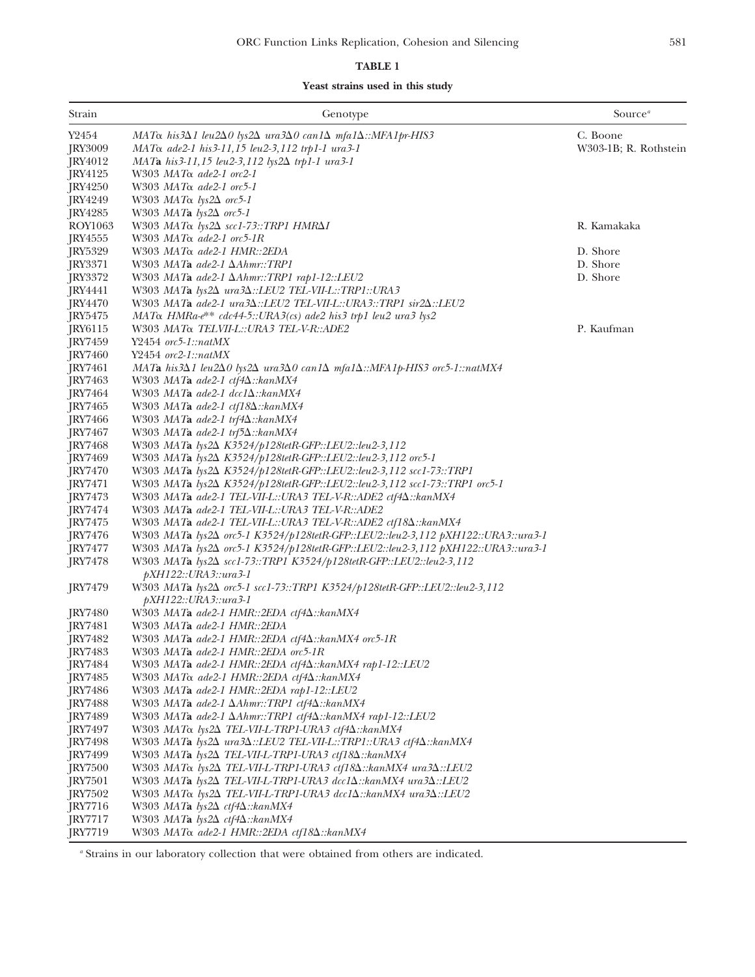## **TABLE 1**

| Strain         | Genotype                                                                                                                   | Source <sup>a</sup>   |
|----------------|----------------------------------------------------------------------------------------------------------------------------|-----------------------|
| Y2454          | MATα his3Δ1 leu2Δ0 lys2Δ ura3Δ0 can1Δ mfa1Δ::MFA1pr-HIS3                                                                   | C. Boone              |
| JRY3009        | MATα ade2-1 his 3-11,15 leu2-3,112 trp1-1 ura 3-1                                                                          | W303-1B; R. Rothstein |
| [RY4012]       | $MATA$ his 3-11,15 leu2-3,112 lys $2\Delta$ trp1-1 ura 3-1                                                                 |                       |
| IRY4125        | $W303$ MAT $\alpha$ ade2-1 orc2-1                                                                                          |                       |
| <b>IRY4250</b> | W303 $MAT\alpha$ ade2-1 orc5-1                                                                                             |                       |
| JRY4249        | W303 <i>MAT</i> α <i>lys2</i> Δ <i>orc5-1</i>                                                                              |                       |
| <b>IRY4285</b> | W303 MATa $lys2\Delta$ orc5-1                                                                                              |                       |
| ROY1063        | W303 $MAT\alpha$ lys2 $\Delta$ scc1-73::TRP1 HMR $\Delta I$                                                                | R. Kamakaka           |
| <b>IRY4555</b> | W303 $MAT\alpha$ ade2-1 orc5-1R                                                                                            |                       |
| JRY5329        | W303 MAT <sub>a ade2-1</sub> HMR::2EDA                                                                                     | D. Shore              |
| <b>IRY3371</b> | W303 MATa ade2-1 $\Delta Ahmr::TRP1$                                                                                       | D. Shore              |
| JRY3372        | W303 MATa ade2-1 ΔAhmr::TRP1 rap1-12::LEU2                                                                                 | D. Shore              |
| <b>IRY4441</b> | W303 MATa lys2∆ ura3∆::LEU2 TEL-VII-L::TRP1::URA3                                                                          |                       |
| <b>JRY4470</b> | W303 MATa ade2-1 ura3 $\Delta$ ::LEU2 TEL-VII-L::URA3::TRP1 sir2 $\Delta$ ::LEU2                                           |                       |
| JRY5475        | $MAT\alpha$ HMRa- $e^{**}$ cdc44-5::URA3(cs) ade2 his3 trp1 leu2 ura3 lys2                                                 |                       |
| JRY6115        | W303 <i>MAT</i> α <i>TELVII-L::URA3 TEL-V-R::ADE2</i>                                                                      | P. Kaufman            |
| <b>IRY7459</b> | $Y2454$ orc5-1::natMX                                                                                                      |                       |
| <b>IRY7460</b> | $Y2454$ orc2-1::natMX                                                                                                      |                       |
| JRY7461        | MATa his3 $\Delta$ 1 leu2 $\Delta$ 0 lys2 $\Delta$ ura3 $\Delta$ 0 can1 $\Delta$ mfa1 $\Delta$ ::MFA1p-HIS3 orc5-1::natMX4 |                       |
| <b>IRY7463</b> | W303 MAT <b>a</b> ade2-1 ctf4 $\Delta$ ::kanMX4                                                                            |                       |
| JRY7464        | W303 MATa ade2-1 $dccl\Delta::kanMX4$                                                                                      |                       |
| JRY7465        | W303 MATa ade2-1 ctf18 $\Delta$ ::kanMX4                                                                                   |                       |
| JRY7466        | W303 MATa ade2-1 trf4 $\Delta$ ::kanMX4                                                                                    |                       |
| JRY7467        | W303 MATa ade2-1 trf5 $\Delta$ ::kanMX4                                                                                    |                       |
| JRY7468        | W303 MATa lys2∆ K3524/p128tetR-GFP::LEU2::leu2-3,112                                                                       |                       |
| JRY7469        | W303 MATa lys2∆ K3524/p128tetR-GFP::LEU2::leu2-3,112 orc5-1                                                                |                       |
| JRY7470        | W303 MATa lys2∆ K3524/p128tetR-GFP::LEU2::leu2-3,112 scc1-73::TRP1                                                         |                       |
| JRY7471        | W303 MATa lys2 $\Delta$ K3524/p128tetR-GFP::LEU2::leu2-3,112 scc1-73::TRP1 orc5-1                                          |                       |
| JRY7473        | W303 MATa ade2-1 TEL-VII-L::URA3 TEL-V-R::ADE2 ctf4∆::kanMX4                                                               |                       |
| JRY7474        | W303 MATa ade2-1 TEL-VII-L::URA3 TEL-V-R::ADE2                                                                             |                       |
| JRY7475        | W303 MATa ade2-1 TEL-VII-L::URA3 TEL-V-R::ADE2 ctf184::kanMX4                                                              |                       |
| JRY7476        | W303 MATa lys2∆ orc5-1 K3524/p128tetR-GFP::LEU2::leu2-3,112 pXH122::URA3::ura3-1                                           |                       |
| JRY7477        | W303 MATa lys2∆ orc5-1 K3524/p128tetR-GFP::LEU2::leu2-3,112 pXH122::URA3::ura3-1                                           |                       |
| <b>IRY7478</b> | W303 MATa lys2∆ scc1-73::TRP1 K3524/p128tetR-GFP::LEU2::leu2-3,112                                                         |                       |
|                | $pXH122::URA3::ura3-1$                                                                                                     |                       |
| JRY7479        | W303 MATa lys2∆ orc5-1 scc1-73::TRP1 K3524/p128tetR-GFP::LEU2::leu2-3,112                                                  |                       |
|                | pXH122::URA3::ura3-1                                                                                                       |                       |
| JRY7480        | W303 MATa ade2-1 HMR::2EDA ctf4∆::kanMX4                                                                                   |                       |
| JRY7481        | W303 MATa ade2-1 HMR::2EDA                                                                                                 |                       |
| JRY7482        | W303 MATa ade2-1 HMR::2EDA ctf4 $\Delta$ ::kanMX4 orc5-1R                                                                  |                       |
| JRY7483        | W303 MATa ade2-1 HMR::2EDA orc5-1R                                                                                         |                       |
| JRY7484        | W303 MATa ade2-1 HMR::2EDA ctf4 $\Delta$ ::kanMX4 rap1-12::LEU2                                                            |                       |
| JRY7485        | W303 MATα ade2-1 HMR::2EDA ctf4Δ::kanMX4                                                                                   |                       |
| JRY7486        | W303 MATa ade2-1 HMR::2EDA rap1-12::LEU2                                                                                   |                       |
| JRY7488        | W303 MATa ade2-1 ∆Ahmr::TRP1 ctf4∆::kanMX4                                                                                 |                       |
| JRY7489        | W303 MATa ade2-1 ∆Ahmr::TRP1 ctf4∆::kanMX4 rap1-12::LEU2                                                                   |                       |
| JRY7497        | W303 MATα lys2Δ TEL-VII-L-TRP1-URA3 ctf4Δ::kanMX4                                                                          |                       |
| JRY7498        | W303 MATa $lys2\Delta$ ura3 $\Delta$ ::LEU2 TEL-VII-L::TRP1::URA3 ctf4 $\Delta$ ::kanMX4                                   |                       |
| JRY7499        | W303 MATa lys2∆ TEL-VII-L-TRP1-URA3 ctf18∆::kanMX4                                                                         |                       |
| <b>JRY7500</b> | W303 MATα lys2Δ TEL-VII-L-TRP1-URA3 ctf18Δ::kanMX4 ura3Δ::LEU2                                                             |                       |
| JRY7501        | W303 MATa lys2∆ TEL-VII-L-TRP1-URA3 dcc1∆::kanMX4 ura3∆::LEU2                                                              |                       |
| <b>IRY7502</b> | W303 MATα lys2Δ TEL-VII-L-TRP1-URA3 dcc1Δ::kanMX4 ura3Δ::LEU2                                                              |                       |
| <b>IRY7716</b> | W303 MATa $lys2\Delta ctf4\Delta$ :: $kanMX4$                                                                              |                       |
| JRY7717        | W303 MATa $lys2\Delta ctf4\Delta$ :: $kanMX4$                                                                              |                       |
| JRY7719        | W303 MATα ade2-1 HMR::2EDA ctf18Δ::kanMX4                                                                                  |                       |

*<sup>a</sup>* Strains in our laboratory collection that were obtained from others are indicated.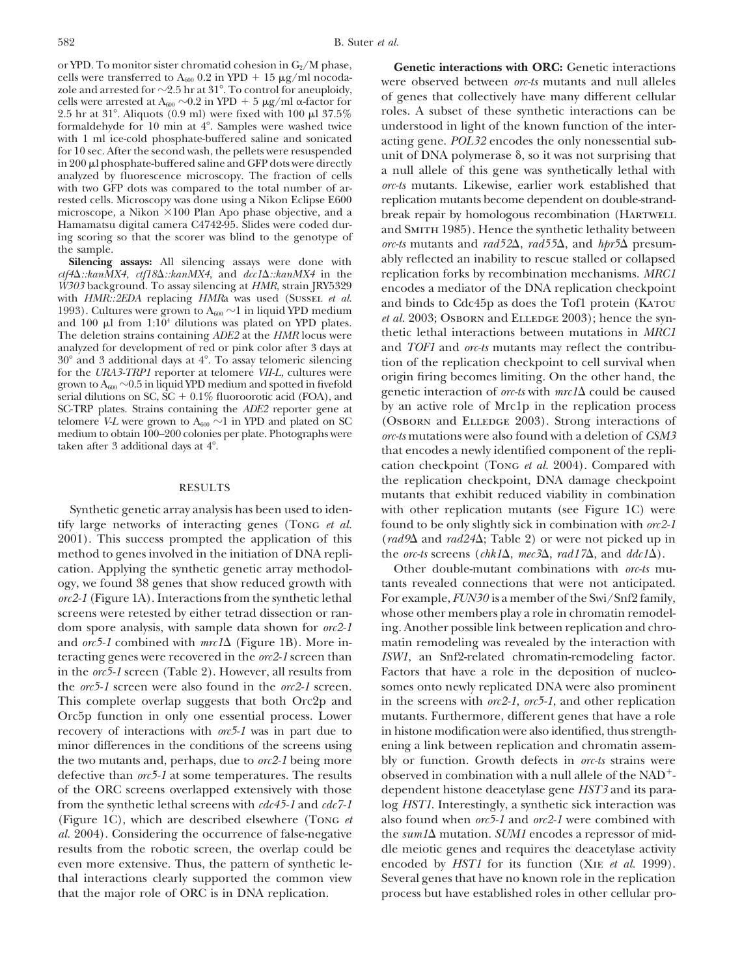or YPD. To monitor sister chromatid cohesion in  $G_2/M$  phase,<br>cells were transferred to  $A_{600}$  0.2 in YPD + 15  $\mu$ g/ml nocodaformaldehyde for 10 min at  $4^{\circ}$ . Samples were washed twice with 1 ml ice-cold phosphate-buffered saline and sonicated rested cells. Microscopy was done using a Nikon Eclipse E600

*ctf4* $\Delta$ ::*kanMX4*, *ctf18* $\Delta$ ::*kanMX4*, and *dcc1* $\Delta$ ::*kanMX4* in the *W303* background. To assay silencing at *HMR*, strain JRY5329 analyzed for development of red or pink color after 3 days at 30° and 3 additional days at 4°. To assay telomeric silencing telomere *V-L* were grown to  $A_{600} \sim 1$  in YPD and plated on SC

tify large networks of interacting genes (Tong *et al.* found to be only slightly sick in combination with *orc2-1* 2001). This success prompted the application of this (*rad9* $\Delta$  and *rad24* $\Delta$ ; Table 2) or were not picked up in method to genes involved in the initiation of DNA repli- the *orc-ts* screens (*chk1* $\Delta$ , *mec*3 $\Delta$ , *rad17* $\Delta$ , and *ddc1* $\Delta$ ). cation. Applying the synthetic genetic array methodol- Other double-mutant combinations with *orc-ts* muogy, we found 38 genes that show reduced growth with tants revealed connections that were not anticipated. *orc2-1* (Figure 1A). Interactions from the synthetic lethal For example, *FUN30* is a member of the Swi/Snf2 family, screens were retested by either tetrad dissection or ran- whose other members play a role in chromatin remodeldom spore analysis, with sample data shown for *orc2-1* ing. Another possible link between replication and chroand  $\alpha r$ <sup>5-1</sup> combined with  $\alpha r$ <sup>1</sup> (Figure 1B). More in- matin remodeling was revealed by the interaction with teracting genes were recovered in the *orc2-1* screen than *ISW1*, an Snf2-related chromatin-remodeling factor. in the *orc5-1* screen (Table 2). However, all results from Factors that have a role in the deposition of nucleothe *orc5-1* screen were also found in the *orc2-1* screen. somes onto newly replicated DNA were also prominent This complete overlap suggests that both Orc2p and in the screens with *orc2-1*, *orc5-1*, and other replication Orc5p function in only one essential process. Lower mutants. Furthermore, different genes that have a role recovery of interactions with *orc5-1* was in part due to in histone modification were also identified, thus strengthminor differences in the conditions of the screens using ening a link between replication and chromatin assemthe two mutants and, perhaps, due to *orc2-1* being more bly or function. Growth defects in *orc-ts* strains were defective than  $orc5-1$  at some temperatures. The results  $\qquad$  observed in combination with a null allele of the NAD<sup>+</sup>of the ORC screens overlapped extensively with those dependent histone deacetylase gene *HST3* and its parafrom the synthetic lethal screens with *cdc45-1* and *cdc7-1* log *HST1*. Interestingly, a synthetic sick interaction was *al.* 2004). Considering the occurrence of false-negative the  $sum1\Delta$  mutation. *SUM1* encodes a repressor of midresults from the robotic screen, the overlap could be dle meiotic genes and requires the deacetylase activity even more extensive. Thus, the pattern of synthetic le- encoded by *HST1* for its function (XIE *et al.* 1999). thal interactions clearly supported the common view Several genes that have no known role in the replication that the major role of ORC is in DNA replication. process but have established roles in other cellular pro-

cells were transferred to A<sub>600</sub> 0.2 in YPD + 15  $\mu$ g/ml nocoda-<br>zole and arrested for ~2.5 hr at 31°. To control for aneuploidy,<br>cells were arrested at A<sub>600</sub> ~0.2 in YPD + 5  $\mu$ g/ml  $\alpha$ -factor for of genes that colle 2.5 hr at 31°. Aliquots (0.9 ml) were fixed with 100  $\mu$ 1 37.5% roles. A subset of these synthetic interactions can be formaldehyde for 10 min at 4°. Samples were washed twice understood in light of the known function of with 1 ml ice-cold phosphate-buffered saline and sonicated<br>for 10 sec. After the second wash, the pellets were resuspended<br>in 200 µ phosphate-buffered saline and GFP dots were directly<br>analyzed by fluorescence microscopy. with two GFP dots was compared to the total number of ar-<br>rested cells. Microscopy was done using a Nikon Eclipse E600 replication mutants become dependent on double-strandmicroscope, a Nikon ×100 Plan Apo phase objective, and a break repair by homologous recombination (HARTWELL Hamamatsu digital camera C4742-95. Slides were coded dur-<br>and SMTH 1085). Hence the synthetic lethality between Hamamatsu digital camera C4/42-95. Slides were coded durated and SMITH 1985). Hence the synthetic lethality between<br>ing scoring so that the scorer was blind to the genotype of<br>the sample.<br>Silencing assays: All silencing a **Silencing assays:** All silencing assays were done with ably reflected an inability to rescue stalled or collapsed  $f4\Delta::kanMX4$ ,  $ct[18\Delta::kanMX4$ , and  $dc1\Delta::kanMX4$  in the replication forks by recombination mechanisms. MRC1 *W303* background. To assay silencing at *HMR*, strain JRY5329 encodes a mediator of the DNA replication checkpoint<br>with *HMR*::2*EDA* replacing *HMR*a was used (SUSSEL *et al.* and binds to Cdc45p as does the Tof1 protei The deletion strains containing *ADE2* at the *HMR* locus were thetic lethal interactions between mutations in *MRC1* analyzed for development of red or pink color after 3 days at and *TOF1* and *ore-ts* mutants may reflec 30° and 3 additional days at 4°. To assay telomeric silencing<br>for the CRA3-TRP1 reporter at telomere VII-L, cultures were<br>grown to A<sub>600</sub> ~0.5 in liquid YPD medium and spotted in fivefold<br>serial dilutions on SC, SC + 0.1% SC-TRP plates. Strains containing the *ADE2* reporter gene at by an active role of Mrc1p in the replication process telomere *VL* were grown to  $A_{600} \sim 1$  in YPD and plated on SC (OSBORN and ELLEDGE 2003). Strong intera medium to obtain 100–200 colonies per plate. Photographs were *orc-ts* mutations were also found with a deletion of *CSM3*<br>taken after 3 additional days at 4°. that encodes a newly identified component of the replication checkpoint (Tong *et al.* 2004). Compared with the replication checkpoint, DNA damage checkpoint RESULTS mutants that exhibit reduced viability in combination Synthetic genetic array analysis has been used to iden- with other replication mutants (see Figure 1C) were

(Figure 1C), which are described elsewhere (Tong *et* also found when *orc5-1* and *orc2-1* were combined with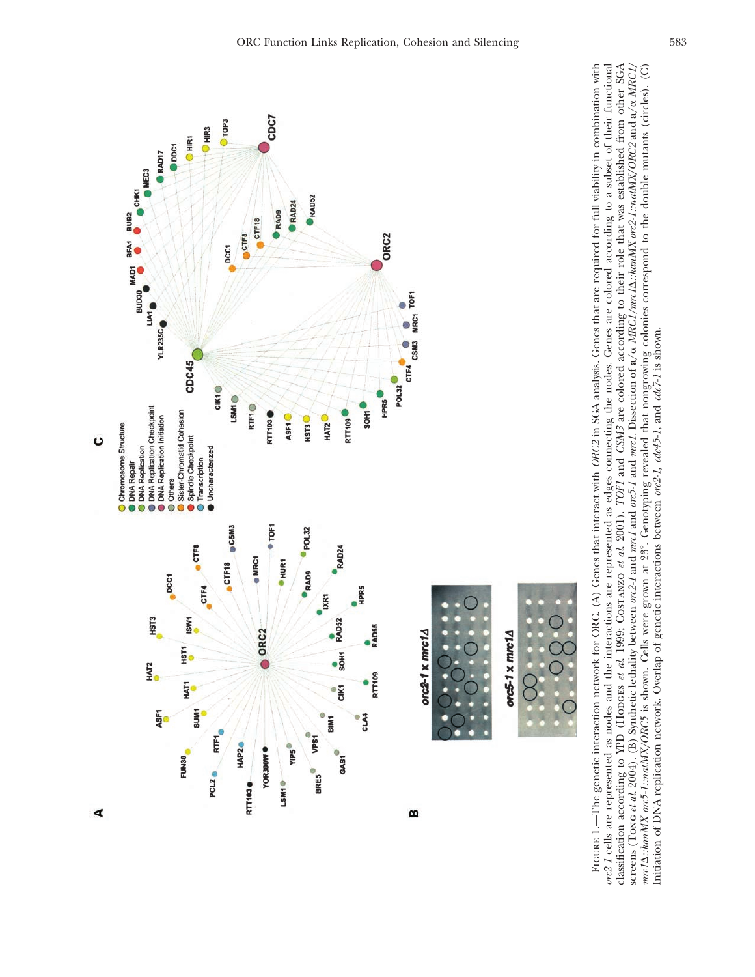

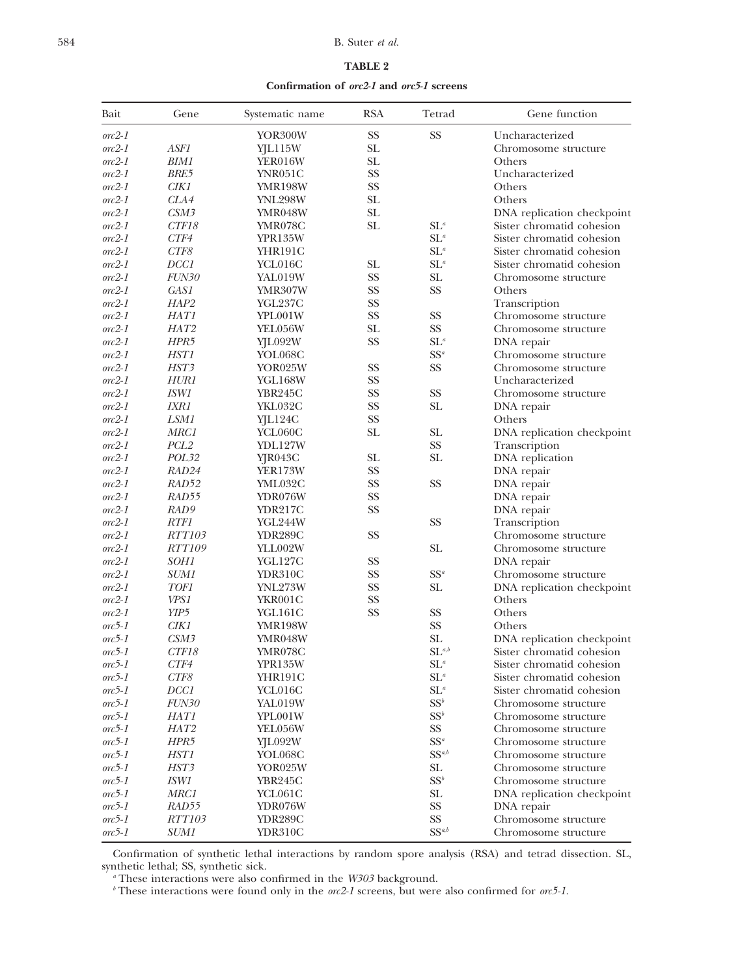### 584 B. Suter *et al.*

### **TABLE 2**

**Confirmation of** *orc2-1* **and** *orc5-1* **screens**

| Bait                    | Gene             | Systematic name | <b>RSA</b> | Tetrad                                | Gene function              |
|-------------------------|------------------|-----------------|------------|---------------------------------------|----------------------------|
| $orc2\hbox{-}1$         |                  | YOR300W         | <b>SS</b>  | <b>SS</b>                             | Uncharacterized            |
| $orc2-1$                | ASF1             | YJL115W         | <b>SL</b>  |                                       | Chromosome structure       |
| $\alpha$ <sup>2-1</sup> | BIM1             | YER016W         | <b>SL</b>  |                                       | Others                     |
| $\alpha$ <sup>2-1</sup> | BRE5             | YNR051C         | <b>SS</b>  |                                       | Uncharacterized            |
| $\alpha$ <sup>2-1</sup> | CIK1             | YMR198W         | SS         |                                       | Others                     |
| $\alpha$ <sup>2-1</sup> | CLA4             | <b>YNL298W</b>  | SL         |                                       | Others                     |
| $\alpha$ <sup>2-1</sup> | CSM3             | YMR048W         | SL         |                                       | DNA replication checkpoint |
| $\alpha$ <sup>2-1</sup> | CTF18            | YMR078C         | SL         | $SL^a$                                | Sister chromatid cohesion  |
| $\alpha$ <sup>2-1</sup> | CTF4             | <b>YPR135W</b>  |            | $SL^a$                                | Sister chromatid cohesion  |
| $\alpha$ <sup>2-1</sup> | CTF8             | YHR191C         |            | $SL^a$                                | Sister chromatid cohesion  |
| $\alpha$ <sup>2-1</sup> | DCC1             | YCL016C         | SL         | $SL^a$                                | Sister chromatid cohesion  |
| $\alpha$ <sup>2-1</sup> | <i>FUN30</i>     | YAL019W         | <b>SS</b>  | SL                                    | Chromosome structure       |
| $\alpha$ <sup>2-1</sup> | GAS1             | YMR307W         | SS         | <b>SS</b>                             | Others                     |
| $\alpha$ <sup>2-1</sup> | HAP2             | YGL237C         | <b>SS</b>  |                                       | Transcription              |
| $\alpha$ <sup>2-1</sup> | <i>HAT1</i>      | YPL001W         | <b>SS</b>  | <b>SS</b>                             | Chromosome structure       |
| $\alpha$ <sup>2-1</sup> | HAT2             | YEL056W         | <b>SL</b>  | <b>SS</b>                             | Chromosome structure       |
| $\alpha$ <sup>2-1</sup> | HPR5             | YJL092W         | SS         | $SL^a$                                | DNA repair                 |
| $\alpha$ <sup>2-1</sup> | <i>HST1</i>      | YOL068C         |            | $SS^a$                                | Chromosome structure       |
| $orc2-1$                | HST3             | YOR025W         | <b>SS</b>  | <b>SS</b>                             | Chromosome structure       |
| $\alpha$ <sup>2-1</sup> | <i>HUR1</i>      | YGL168W         | <b>SS</b>  |                                       | Uncharacterized            |
| $\alpha$ <sup>2-1</sup> | <i>ISW1</i>      | YBR245C         | <b>SS</b>  | <b>SS</b>                             | Chromosome structure       |
| $orc2-1$                | <i>IXR1</i>      | YKL032C         | <b>SS</b>  | SL                                    | DNA repair                 |
| $\alpha$ <sup>2-1</sup> | LSM1             | YJL124C         | SS         |                                       | Others                     |
| $\alpha$ <sup>2-1</sup> | <i>MRC1</i>      | YCL060C         | <b>SL</b>  | <b>SL</b>                             | DNA replication checkpoint |
| $orc2-1$                | PCL <sub>2</sub> | YDL127W         |            | SS                                    | Transcription              |
| $\alpha$ <sup>2-1</sup> | POL32            | YJR043C         | <b>SL</b>  | SL                                    | DNA replication            |
| $\alpha$ <sup>2-1</sup> | RAD24            | <b>YER173W</b>  | SS         |                                       | DNA repair                 |
| $\alpha$ <sup>2-1</sup> | RAD52            | YML032C         | SS         | <b>SS</b>                             | DNA repair                 |
| $\alpha$ <sup>2-1</sup> | RAD55            | YDR076W         | SS         |                                       | DNA repair                 |
| $\alpha$ <sup>2-1</sup> | RAD9             | <b>YDR217C</b>  | <b>SS</b>  |                                       | DNA repair                 |
| $\alpha$ <sup>2-1</sup> | <i>RTF1</i>      | YGL244W         |            | <b>SS</b>                             | Transcription              |
| $\alpha$ <sup>2-1</sup> | <i>RTT103</i>    | <b>YDR289C</b>  | SS         |                                       | Chromosome structure       |
| $orc2-1$                | <i>RTT109</i>    | YLL002W         |            | <b>SL</b>                             | Chromosome structure       |
| $\alpha$ <sup>2-1</sup> | <i>SOH1</i>      | YGL127C         | SS         |                                       | DNA repair                 |
| $\alpha$ <sup>2-1</sup> | <i>SUM1</i>      | YDR310C         | SS         | $SS^a$                                | Chromosome structure       |
| $\alpha$ <sup>2-1</sup> | <i>TOF1</i>      | <b>YNL273W</b>  | <b>SS</b>  | SL                                    | DNA replication checkpoint |
| $orc2-1$                | VPS1             | YKR001C         | SS         |                                       | Others                     |
| $\alpha$ <sup>2-1</sup> | YIP5             | YGL161C         | <b>SS</b>  | SS                                    | Others                     |
| $\alpha$ <sup>5-1</sup> | CIK1             | YMR198W         |            | <b>SS</b>                             | Others                     |
| $\alpha$ <sup>5-1</sup> | CSM3             | YMR048W         |            | SL                                    | DNA replication checkpoint |
| $\alpha$ <sup>5-1</sup> | CTF18            | YMR078C         |            | $\mathrm{SL}^{\mathit{a},\mathit{b}}$ | Sister chromatid cohesion  |
| $orc5-1$                | CTF4             | <b>YPR135W</b>  |            | $\mathrm{SL}^a$                       | Sister chromatid cohesion  |
| $orc5-1$                | CTF8             | YHR191C         |            | $\mathrm{SL}^a$                       | Sister chromatid cohesion  |
| $orc5-1$                | DCC1             | YCL016C         |            | $SL^a$                                | Sister chromatid cohesion  |
| $orc5-1$                | <b>FUN30</b>     | YAL019W         |            | $SS^b$                                | Chromosome structure       |
| $orc5-1$                | HAT1             | YPL001W         |            | $SS^b$                                | Chromosome structure       |
| $orc5-1$                | HAT2             | YEL056W         |            | SS                                    | Chromosome structure       |
| $orc5-1$                | HPR5             | YJL092W         |            | $SS^a$                                | Chromosome structure       |
| $orc5-1$                | HST1             | YOL068C         |            | $SS^{a,b}$                            | Chromosome structure       |
| $orc5-1$                | HST3             | YOR025W         |            | SL                                    | Chromosome structure       |
| $orc5-1$                | <i>ISW1</i>      | <b>YBR245C</b>  |            | $SS^b$                                | Chromosome structure       |
| $orc5-1$                | MRC1             | YCL061C         |            | SL                                    | DNA replication checkpoint |
| $orc5-1$                | RAD55            | YDR076W         |            | <b>SS</b>                             | DNA repair                 |
| $orc5-1$                | <i>RTT103</i>    | YDR289C         |            | <b>SS</b>                             | Chromosome structure       |
| $orc5-1$                | <i>SUM1</i>      | YDR310C         |            | $SS^{a,b}$                            | Chromosome structure       |

Confirmation of synthetic lethal interactions by random spore analysis (RSA) and tetrad dissection. SL, synthetic lethal; SS, synthetic sick.

*<sup>a</sup>* These interactions were also confirmed in the *W303* background.

*<sup>b</sup>* These interactions were found only in the *orc2-1* screens, but were also confirmed for *orc5-1.*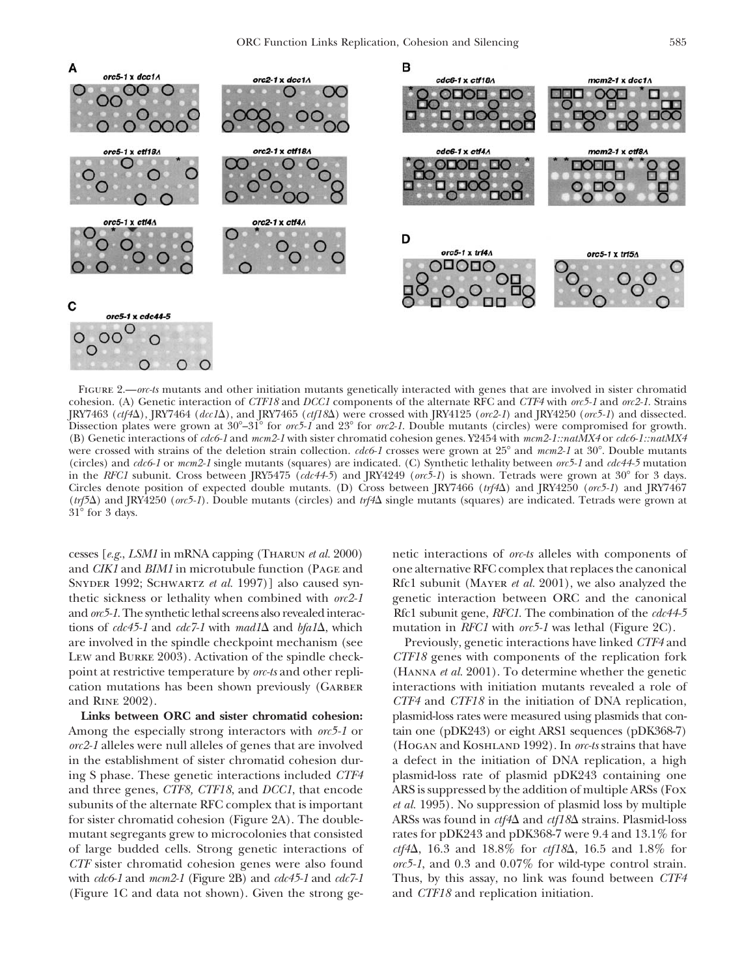

Figure 2.—*orc-ts* mutants and other initiation mutants genetically interacted with genes that are involved in sister chromatid cohesion. (A) Genetic interaction of *CTF18* and *DCC1* components of the alternate RFC and *CTF4* with *orc5-1* and *orc2-1*. Strains JRY7463 (*ctf4*), JRY7464 (*dcc1*), and JRY7465 (*ctf18*) were crossed with JRY4125 (*orc2-1*) and JRY4250 (*orc5-1*) and dissected. Dissection plates were grown at  $30^{\circ}-31^{\circ}$  for *orc5-1* and 23° for *orc2-1*. Double mutants (circles) were compromised for growth. (B) Genetic interactions of *cdc6-1* and *mcm2-1* with sister chromatid cohesion genes. Y2454 with *mcm2-1::natMX4* or *cdc6-1::natMX4* were crossed with strains of the deletion strain collection. *cdc6-1* crosses were grown at 25° and *mcm2-1* at 30°. Double mutants (circles) and *cdc6-1* or *mcm2-1* single mutants (squares) are indicated. (C) Synthetic lethality between *orc5-1* and *cdc44-5* mutation in the *RFC1* subunit. Cross between JRY5475 (*cdc44-5*) and JRY4249 (*orc5-1*) is shown. Tetrads were grown at 30° for 3 days. Circles denote position of expected double mutants. (D) Cross between JRY7466 (*trf4*) and JRY4250 (*orc5-1*) and JRY7467 (*trf5*) and JRY4250 (*orc5-1*). Double mutants (circles) and *trf4* single mutants (squares) are indicated. Tetrads were grown at  $31^\circ$  for 3 days.

cesses [*e.g.*, *LSM1* in mRNA capping (Tharun *et al.* 2000) netic interactions of *orc-ts* alleles with components of and *CIK1* and *BIM1* in microtubule function (Page and one alternative RFC complex that replaces the canonical SNYDER 1992; SCHWARTZ *et al.* 1997)] also caused syn-<br>Rfc1 subunit (MAYER *et al.* 2001), we also analyzed the thetic sickness or lethality when combined with *orc2-1* genetic interaction between ORC and the canonical and *orc5-1*. The synthetic lethal screens also revealed interac- Rfc1 subunit gene, *RFC1*. The combination of the *cdc44-5* tions of  $cdc45-1$  and  $cdc7-1$  with  $mad\Delta$  and  $bfa1\Delta$ , which mutation in *RFC1* with  $orc5-1$  was lethal (Figure 2C). are involved in the spindle checkpoint mechanism (see Previously, genetic interactions have linked *CTF4* and Lew and Burke 2003). Activation of the spindle check- *CTF18* genes with components of the replication fork point at restrictive temperature by *orc-ts* and other repli- (Hanna *et al.* 2001). To determine whether the genetic cation mutations has been shown previously (GARBER interactions with initiation mutants revealed a role of and Rine 2002). *CTF4* and *CTF18* in the initiation of DNA replication,

Among the especially strong interactors with *orc5-1* or tain one (pDK243) or eight ARS1 sequences (pDK368-7) *orc2-1* alleles were null alleles of genes that are involved (Hogan and Koshland 1992). In *orc-ts* strains that have in the establishment of sister chromatid cohesion dur- a defect in the initiation of DNA replication, a high ing S phase. These genetic interactions included *CTF4* plasmid-loss rate of plasmid pDK243 containing one and three genes, *CTF8, CTF18*, and *DCC1*, that encode ARS is suppressed by the addition of multiple ARSs (Fox subunits of the alternate RFC complex that is important *et al.* 1995). No suppression of plasmid loss by multiple for sister chromatid cohesion (Figure 2A). The double- ARSs was found in  $\frac{cf_4\Delta}{\Delta}$  and  $\frac{cf_1\delta\Delta}{\Delta}$  strains. Plasmid-loss mutant segregants grew to microcolonies that consisted rates for pDK243 and pDK368-7 were 9.4 and 13.1% for of large budded cells. Strong genetic interactions of *ctf4*, 16.3 and 18.8% for *ctf18*, 16.5 and 1.8% for with *cdc6-1* and *mcm2-1* (Figure 2B) and *cdc45-1* and *cdc7-1* Thus, by this assay, no link was found between *CTF4* (Figure 1C and data not shown). Given the strong ge- and *CTF18* and replication initiation.

**Links between ORC and sister chromatid cohesion:** plasmid-loss rates were measured using plasmids that con-*CTF* sister chromatid cohesion genes were also found *orc5-1*, and 0.3 and 0.07% for wild-type control strain.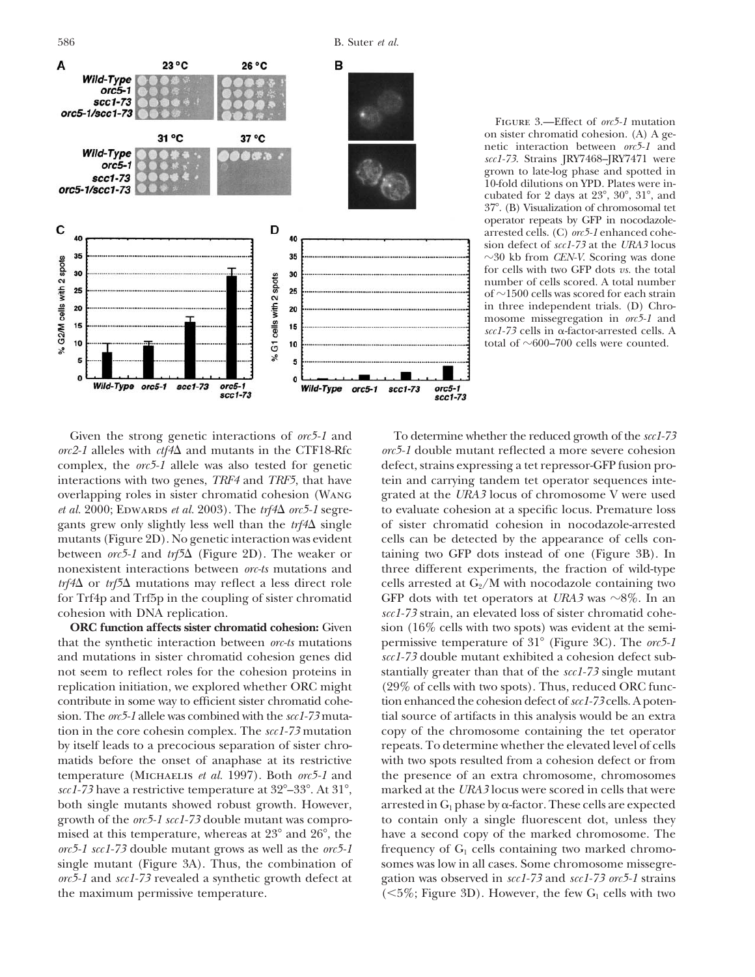

586 B. Suter *et al.*

Figure 3.—Effect of *orc5-1* mutation on sister chromatid cohesion. (A) A genetic interaction between *orc5-1* and *scc1-73*. Strains JRY7468–JRY7471 were grown to late-log phase and spotted in 10-fold dilutions on YPD. Plates were incubated for 2 days at  $23^{\circ}$ ,  $30^{\circ}$ ,  $31^{\circ}$ , and 37. (B) Visualization of chromosomal tet operator repeats by GFP in nocodazolearrested cells. (C) *orc5-1* enhanced cohesion defect of *scc1-73* at the *URA3* locus  $\sim$ 30 kb from *CEN-V*. Scoring was done for cells with two GFP dots *vs.* the total number of cells scored. A total number of  $\sim$ 1500 cells was scored for each strain in three independent trials. (D) Chromosome missegregation in *orc5-1* and  $\sec 1-73$  cells in  $\alpha$ -factor-arrested cells. A total of  $\sim$ 600–700 cells were counted.

*orc2-1* alleles with *ctf4* and mutants in the CTF18-Rfc *orc5-1* double mutant reflected a more severe cohesion complex, the *orc5-1* allele was also tested for genetic defect, strains expressing a tet repressor-GFP fusion prointeractions with two genes, *TRF4* and *TRF5*, that have tein and carrying tandem tet operator sequences inteoverlapping roles in sister chromatid cohesion (Wang grated at the *URA3* locus of chromosome V were used *et al.* 2000; EDWARDS *et al.* 2003). The *trf4 orc5-1* segre- to evaluate cohesion at a specific locus. Premature loss gants grew only slightly less well than the *trf4* \ single of sister chromatid cohesion in nocodazole-arrested mutants (Figure 2D). No genetic interaction was evident cells can be detected by the appearance of cells conbetween *orc5-1* and *trf5* (Figure 2D). The weaker or taining two GFP dots instead of one (Figure 3B). In nonexistent interactions between *orc-ts* mutations and three different experiments, the fraction of wild-type *trf4* $\Delta$  or *trf5* $\Delta$  mutations may reflect a less direct role cells arrested at  $G_2/M$  with nocodazole containing two for Trf4p and Trf5p in the coupling of sister chromatid GFP dots with tet operators at *URA3* was  $\sim$ 8%. In an cohesion with DNA replication. *scc1-73* strain, an elevated loss of sister chromatid cohe-

that the synthetic interaction between *orc-ts* mutations permissive temperature of 31 (Figure 3C). The *orc5-1* and mutations in sister chromatid cohesion genes did *scc1-73* double mutant exhibited a cohesion defect subnot seem to reflect roles for the cohesion proteins in stantially greater than that of the *scc1-73* single mutant replication initiation, we explored whether ORC might (29% of cells with two spots). Thus, reduced ORC funccontribute in some way to efficient sister chromatid cohe- tion enhanced the cohesion defect of*scc1-73* cells. A potension. The *orc5-1* allele was combined with the *scc1-73* muta- tial source of artifacts in this analysis would be an extra tion in the core cohesin complex. The *scc1-73* mutation copy of the chromosome containing the tet operator by itself leads to a precocious separation of sister chro- repeats. To determine whether the elevated level of cells matids before the onset of anaphase at its restrictive with two spots resulted from a cohesion defect or from temperature (Michaelis *et al.* 1997). Both *orc5-1* and the presence of an extra chromosome, chromosomes *scc1-73* have a restrictive temperature at 32–33. At 31, marked at the *URA3* locus were scored in cells that were both single mutants showed robust growth. However, growth of the *orc5-1 scc1-73* double mutant was compro- to contain only a single fluorescent dot, unless they mised at this temperature, whereas at 23° and 26°, the have a second copy of the marked chromosome. The *orc5-1 scc1-73* double mutant grows as well as the *orc5-1* frequency of  $G<sub>1</sub>$  cells containing two marked chromosingle mutant (Figure 3A). Thus, the combination of somes was low in all cases. Some chromosome missegre*orc5-1* and *scc1-73* revealed a synthetic growth defect at gation was observed in *scc1-73* and *scc1-73 orc5-1* strains the maximum permissive temperature.

Given the strong genetic interactions of *orc5-1* and To determine whether the reduced growth of the *scc1-73* **ORC function affects sister chromatid cohesion:** Given sion (16% cells with two spots) was evident at the semiarrested in  $G_1$  phase by  $\alpha$ -factor. These cells are expected  $(<5\%$ ; Figure 3D). However, the few G<sub>1</sub> cells with two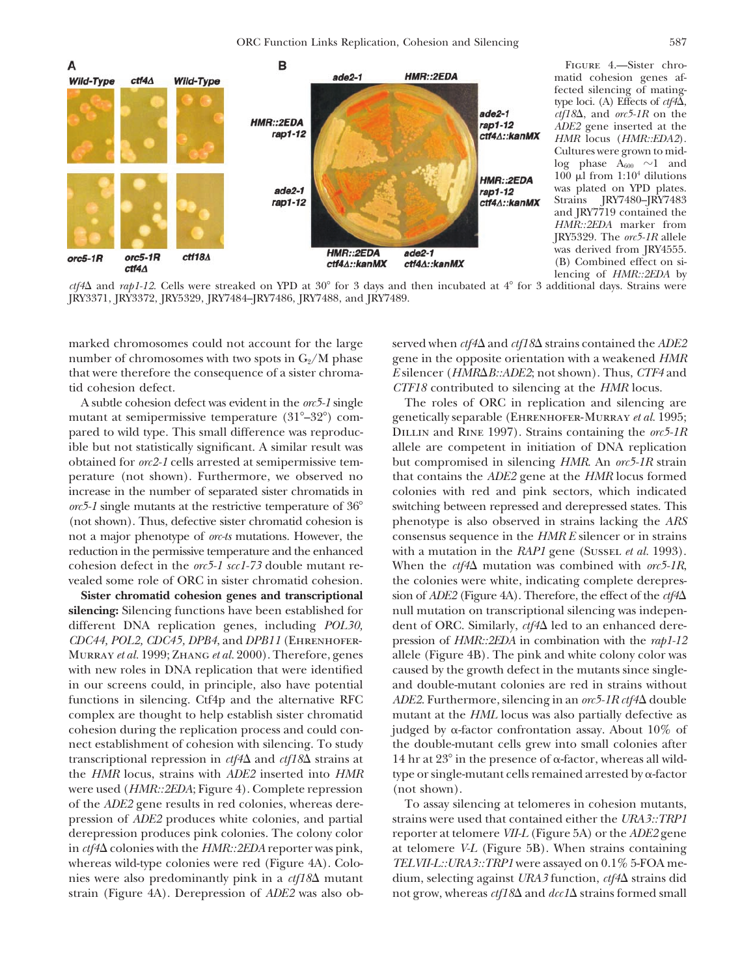ORC Function Links Replication, Cohesion and Silencing 587



Figure 4.—Sister chromatid cohesion genes affected silencing of matingtype loci. (A) Effects of  $ctf4\Delta$ , *ctf18*, and *orc5-1R* on the *ADE2* gene inserted at the *HMR* locus (*HMR::EDA2*). Cultures were grown to mid- $\log$  phase  $A_{600}$  ~1 and  $100 \mu l$  from  $1:10^4$  dilutions was plated on YPD plates.<br>Strains IRY7480-IRY7483 JRY7480–JRY7483 and JRY7719 contained the *HMR::2EDA* marker from JRY5329. The *orc5-1R* allele was derived from JRY4555. (B) Combined effect on silencing of *HMR::2EDA* by

 $ctf4\Delta$  and  $rap1-12$ . Cells were streaked on YPD at 30° for 3 days and then incubated at  $4^\circ$  for 3 additional days. Strains were JRY3371, JRY3372, JRY5329, JRY7484–JRY7486, JRY7488, and JRY7489.

number of chromosomes with two spots in G<sub>2</sub>/M phase gene in the opposite orientation with a weakened *HMR* that were therefore the consequence of a sister chroma- *E* silencer (*HMRB::ADE2*; not shown). Thus, *CTF4* and tid cohesion defect. *CTF18* contributed to silencing at the *HMR* locus.

cohesion during the replication process and could contranscriptional repression in  $ctf4\Delta$  and  $ctf18\Delta$  strains at the *HMR* locus, strains with *ADE2* inserted into *HMR* were used (*HMR::2EDA*; Figure 4). Complete repression (not shown). of the *ADE2* gene results in red colonies, whereas dere- To assay silencing at telomeres in cohesion mutants,

marked chromosomes could not account for the large served when  $\frac{cf}{4\Delta}$  and  $\frac{cf}{18\Delta}$  strains contained the *ADE2* 

A subtle cohesion defect was evident in the *orc5-1* single The roles of ORC in replication and silencing are mutant at semipermissive temperature (31°–32°) com- genetically separable (EHRENHOFER-MURRAY *et al.* 1995; pared to wild type. This small difference was reproduc- Dillin and Rine 1997). Strains containing the *orc5-1R* ible but not statistically significant. A similar result was allele are competent in initiation of DNA replication obtained for *orc2-1* cells arrested at semipermissive tem- but compromised in silencing *HMR*. An *orc5-1R* strain perature (not shown). Furthermore, we observed no that contains the *ADE2* gene at the *HMR* locus formed increase in the number of separated sister chromatids in colonies with red and pink sectors, which indicated *orc5-1* single mutants at the restrictive temperature of 36<sup>°</sup> switching between repressed and derepressed states. This (not shown). Thus, defective sister chromatid cohesion is phenotype is also observed in strains lacking the *ARS* not a major phenotype of *orc-ts* mutations. However, the consensus sequence in the *HMR E* silencer or in strains reduction in the permissive temperature and the enhanced with a mutation in the *RAP1* gene (Sussel *et al.* 1993). cohesion defect in the *orc5-1 scc1-73* double mutant re- When the *ctf4* $\Delta$  mutation was combined with *orc5-1R*, vealed some role of ORC in sister chromatid cohesion. the colonies were white, indicating complete derepres-**Sister chromatid cohesion genes and transcriptional** sion of *ADE2* (Figure 4A). Therefore, the effect of the *ctf4* $\Delta$ **silencing:** Silencing functions have been established for null mutation on transcriptional silencing was independifferent DNA replication genes, including *POL30*, dent of ORC. Similarly, *ctf4* led to an enhanced dere-*CDC44, POL2, CDC45, DPB4*, and *DPB11* (Ehrenhofer- pression of *HMR::2EDA* in combination with the *rap1-12* Murray *et al.* 1999; Zhang *et al.* 2000). Therefore, genes allele (Figure 4B). The pink and white colony color was with new roles in DNA replication that were identified caused by the growth defect in the mutants since singlein our screens could, in principle, also have potential and double-mutant colonies are red in strains without functions in silencing. Ctf4p and the alternative RFC *ADE2*. Furthermore, silencing in an *orc5-1R ctf4* double complex are thought to help establish sister chromatid mutant at the *HML* locus was also partially defective as judged by  $\alpha$ -factor confrontation assay. About 10% of nect establishment of cohesion with silencing. To study the double-mutant cells grew into small colonies after 14 hr at  $23^{\circ}$  in the presence of  $\alpha$ -factor, whereas all wildtype or single-mutant cells remained arrested by  $\alpha$ -factor

pression of *ADE2* produces white colonies, and partial strains were used that contained either the *URA3::TRP1* derepression produces pink colonies. The colony color reporter at telomere *VII-L* (Figure 5A) or the *ADE2* gene in *ctf4* colonies with the *HMR::2EDA* reporter was pink, at telomere *V-L* (Figure 5B). When strains containing whereas wild-type colonies were red (Figure 4A). Colo- *TELVII-L::URA3::TRP1* were assayed on 0.1% 5-FOA menies were also predominantly pink in a *ctf18* mutant dium, selecting against *URA3* function, *ctf4* strains did strain (Figure 4A). Derepression of *ADE2* was also ob- not grow, whereas  $\frac{cf18\Delta}{\Delta}$  and  $\frac{dc1\Delta}{\Delta}$  strains formed small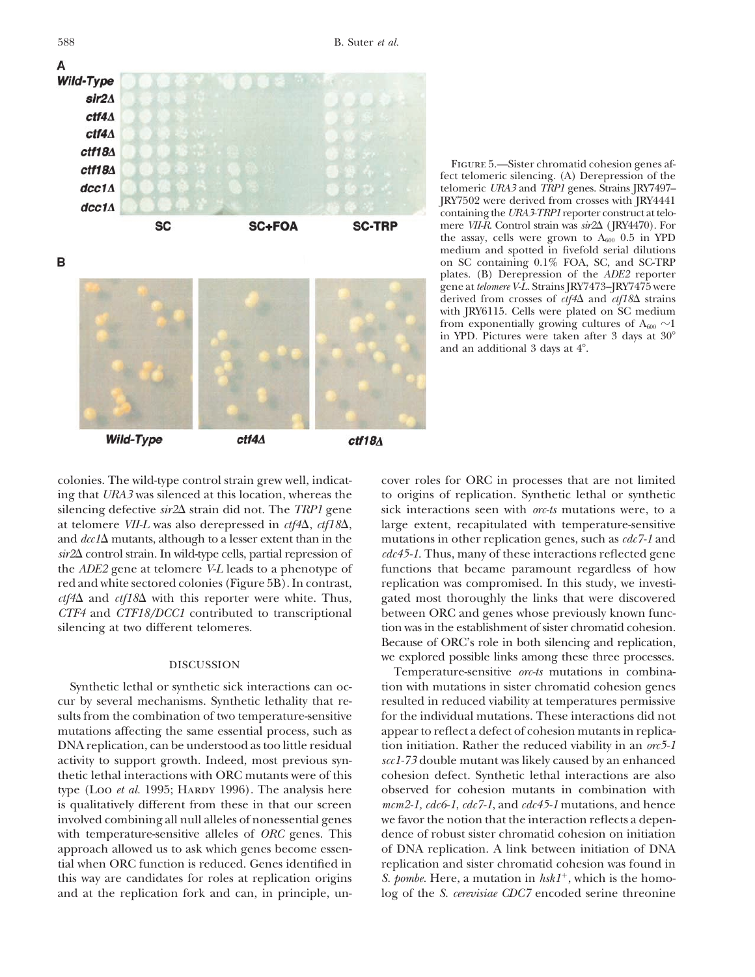

Figure 5.—Sister chromatid cohesion genes affect telomeric silencing. (A) Derepression of the telomeric *URA3* and *TRP1* genes. Strains JRY7497– JRY7502 were derived from crosses with JRY4441 containing the*URA3-TRP1* reporter construct at telomere *VII-R*. Control strain was *sir2* (JRY4470). For the assay, cells were grown to  $A_{600}$  0.5 in YPD medium and spotted in fivefold serial dilutions on SC containing 0.1% FOA, SC, and SC-TRP plates. (B) Derepression of the *ADE2* reporter gene at *telomere V-L*. Strains JRY7473–JRY7475 were derived from crosses of  $ctf4\Delta$  and  $ctf18\Delta$  strains with JRY6115. Cells were plated on SC medium from exponentially growing cultures of  $A_{600} \sim 1$ in YPD. Pictures were taken after 3 days at 30 and an additional 3 days at  $4^\circ$ .

cur by several mechanisms. Synthetic lethality that re- resulted in reduced viability at temperatures permissive sults from the combination of two temperature-sensitive for the individual mutations. These interactions did not mutations affecting the same essential process, such as appear to reflect a defect of cohesion mutants in replica-DNA replication, can be understood as too little residual tion initiation. Rather the reduced viability in an *orc5-1* activity to support growth. Indeed, most previous syn- *scc1-73* double mutant was likely caused by an enhanced thetic lethal interactions with ORC mutants were of this cohesion defect. Synthetic lethal interactions are also type (Loo *et al.* 1995; HARDY 1996). The analysis here observed for cohesion mutants in combination with is qualitatively different from these in that our screen *mcm2-1, cdc6-1*, *cdc7-1*, and *cdc45-1* mutations, and hence involved combining all null alleles of nonessential genes we favor the notion that the interaction reflects a depenwith temperature-sensitive alleles of *ORC* genes. This dence of robust sister chromatid cohesion on initiation approach allowed us to ask which genes become essen- of DNA replication. A link between initiation of DNA tial when ORC function is reduced. Genes identified in replication and sister chromatid cohesion was found in this way are candidates for roles at replication origins *S. pombe.* Here, a mutation in  $hsh1^+$ , which is the homo-

colonies. The wild-type control strain grew well, indicat- cover roles for ORC in processes that are not limited ing that *URA3* was silenced at this location, whereas the to origins of replication. Synthetic lethal or synthetic silencing defective *sir2* $\Delta$  strain did not. The *TRP1* gene sick interactions seen with *orc-ts* mutations were, to a at telomere *VII-L* was also derepressed in  $ctf4\Delta$ ,  $ctf18\Delta$ , large extent, recapitulated with temperature-sensitive and *dcc1*<sup> $\Delta$ </sup> mutants, although to a lesser extent than in the mutations in other replication genes, such as *cdc7*-1 and *sir2* control strain. In wild-type cells, partial repression of *cdc45-1*. Thus, many of these interactions reflected gene the *ADE2* gene at telomere *V-L* leads to a phenotype of functions that became paramount regardless of how red and white sectored colonies (Figure 5B). In contrast, replication was compromised. In this study, we investi*ctf4* and *ctf18* with this reporter were white. Thus, gated most thoroughly the links that were discovered *CTF4* and *CTF18/DCC1* contributed to transcriptional between ORC and genes whose previously known funcsilencing at two different telomeres. the stablishment of sister chromatid cohesion. Because of ORC's role in both silencing and replication,

DISCUSSION we explored possible links among these three processes.<br>Temperature-sensitive *orc-ts* mutations in combina-Synthetic lethal or synthetic sick interactions can oc- tion with mutations in sister chromatid cohesion genes and at the replication fork and can, in principle, un- log of the *S. cerevisiae CDC7* encoded serine threonine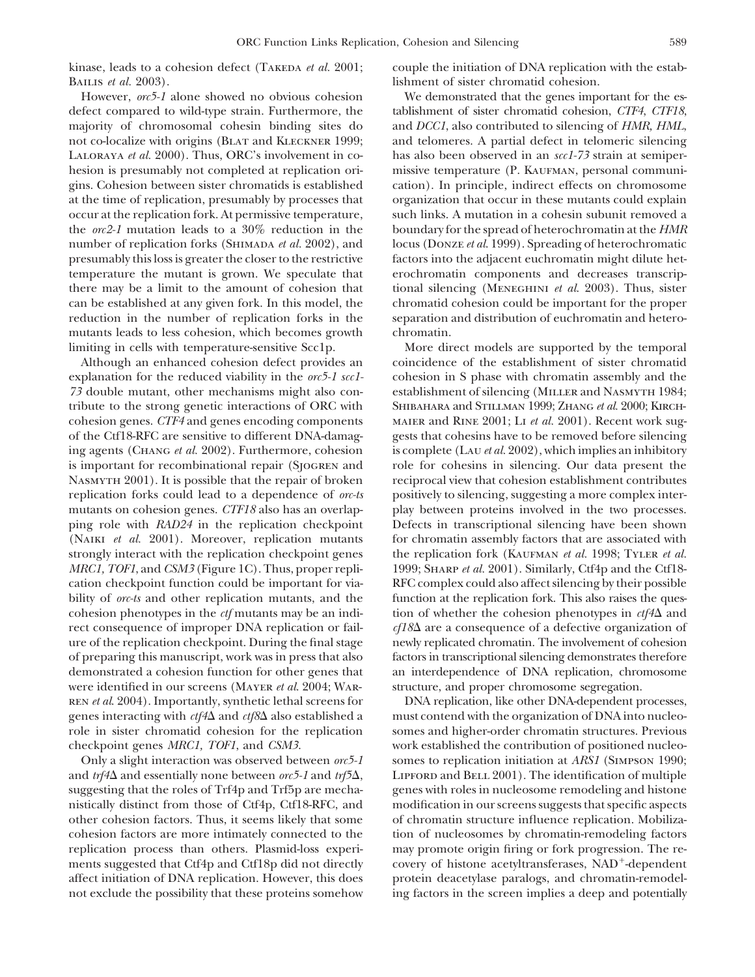BAILIS *et al.* 2003). lishment of sister chromatid cohesion.

defect compared to wild-type strain. Furthermore, the tablishment of sister chromatid cohesion, *CTF4*, *CTF18*, majority of chromosomal cohesin binding sites do and *DCC1*, also contributed to silencing of *HMR, HML*, not co-localize with origins (BLAT and KLECKNER 1999; and telomeres. A partial defect in telomeric silencing Laloraya *et al.* 2000). Thus, ORC's involvement in co- has also been observed in an *scc1-73* strain at semiperhesion is presumably not completed at replication ori-<br>missive temperature (P. KAUFMAN, personal communigins. Cohesion between sister chromatids is established cation). In principle, indirect effects on chromosome at the time of replication, presumably by processes that organization that occur in these mutants could explain occur at the replication fork. At permissive temperature, such links. A mutation in a cohesin subunit removed a the *orc2-1* mutation leads to a 30% reduction in the boundary for the spread of heterochromatin at the *HMR* number of replication forks (Shimada *et al.* 2002), and locus (Donze *et al*. 1999). Spreading of heterochromatic presumably this loss is greater the closer to the restrictive factors into the adjacent euchromatin might dilute hettemperature the mutant is grown. We speculate that erochromatin components and decreases transcripthere may be a limit to the amount of cohesion that tional silencing (Meneghini *et al*. 2003). Thus, sister can be established at any given fork. In this model, the chromatid cohesion could be important for the proper reduction in the number of replication forks in the separation and distribution of euchromatin and heteromutants leads to less cohesion, which becomes growth chromatin. limiting in cells with temperature-sensitive Scc1p. More direct models are supported by the temporal

explanation for the reduced viability in the *orc5-1 scc1-* cohesion in S phase with chromatin assembly and the 73 double mutant, other mechanisms might also con-<br>establishment of silencing (MILLER and NASMYTH 1984; tribute to the strong genetic interactions of ORC with Shibahara and Stillman 1999; Zhang *et al.* 2000; Kirchcohesion genes. *CTF4* and genes encoding components maier and Rine 2001; Li *et al.* 2001). Recent work sugof the Ctf18-RFC are sensitive to different DNA-damag- gests that cohesins have to be removed before silencing ing agents (Chang *et al.* 2002). Furthermore, cohesion is complete (Lau *et al.* 2002), which implies an inhibitory is important for recombinational repair (Sjogren and role for cohesins in silencing. Our data present the NASMYTH 2001). It is possible that the repair of broken reciprocal view that cohesion establishment contributes replication forks could lead to a dependence of *orc-ts* positively to silencing, suggesting a more complex intermutants on cohesion genes. *CTF18* also has an overlap- play between proteins involved in the two processes. ping role with *RAD24* in the replication checkpoint Defects in transcriptional silencing have been shown (NAIKI *et al.* 2001). Moreover, replication mutants for chromatin assembly factors that are associated with strongly interact with the replication checkpoint genes the replication fork (KAUFMAN *et al.* 1998; TYLER *et al. MRC1, TOF1*, and *CSM3* (Figure 1C). Thus, proper repli- 1999; SHARP *et al.* 2001). Similarly, Ctf4p and the Ctf18cation checkpoint function could be important for via- RFC complex could also affect silencing by their possible bility of *orc-ts* and other replication mutants, and the function at the replication fork. This also raises the quescohesion phenotypes in the *ctf* mutants may be an indi- tion of whether the cohesion phenotypes in  $\text{cf}4\Delta$  and rect consequence of improper DNA replication or fail- *cf18* are a consequence of a defective organization of ure of the replication checkpoint. During the final stage newly replicated chromatin. The involvement of cohesion of preparing this manuscript, work was in press that also factors in transcriptional silencing demonstrates therefore demonstrated a cohesion function for other genes that an interdependence of DNA replication, chromosome were identified in our screens (Mayer *et al*. 2004; War- structure, and proper chromosome segregation. ren *et al*. 2004). Importantly, synthetic lethal screens for DNA replication, like other DNA-dependent processes, genes interacting with  $ctf4\Delta$  and  $ctf8\Delta$  also established a must contend with the organization of DNA into nucleorole in sister chromatid cohesion for the replication somes and higher-order chromatin structures. Previous checkpoint genes *MRC1, TOF1*, and *CSM3*. work established the contribution of positioned nucleo-

and  $trf4\Delta$  and essentially none between *orc5-1* and  $trf5\Delta$ , LIPFORD and BELL 2001). The identification of multiple suggesting that the roles of Trf4p and Trf5p are mecha- genes with roles in nucleosome remodeling and histone nistically distinct from those of Ctf4p, Ctf18-RFC, and modification in our screens suggests that specific aspects other cohesion factors. Thus, it seems likely that some of chromatin structure influence replication. Mobilizacohesion factors are more intimately connected to the tion of nucleosomes by chromatin-remodeling factors replication process than others. Plasmid-loss experi- may promote origin firing or fork progression. The rements suggested that Ctf4p and Ctf18p did not directly covery of histone acetyltransferases, NAD<sup>+</sup>-dependent affect initiation of DNA replication. However, this does protein deacetylase paralogs, and chromatin-remodelnot exclude the possibility that these proteins somehow ing factors in the screen implies a deep and potentially

kinase, leads to a cohesion defect (TAKEDA *et al.* 2001; couple the initiation of DNA replication with the estab-

However, *orc5-1* alone showed no obvious cohesion We demonstrated that the genes important for the es-

Although an enhanced cohesion defect provides an coincidence of the establishment of sister chromatid

Only a slight interaction was observed between *orc5-1* somes to replication initiation at *ARS1* (Simpson 1990;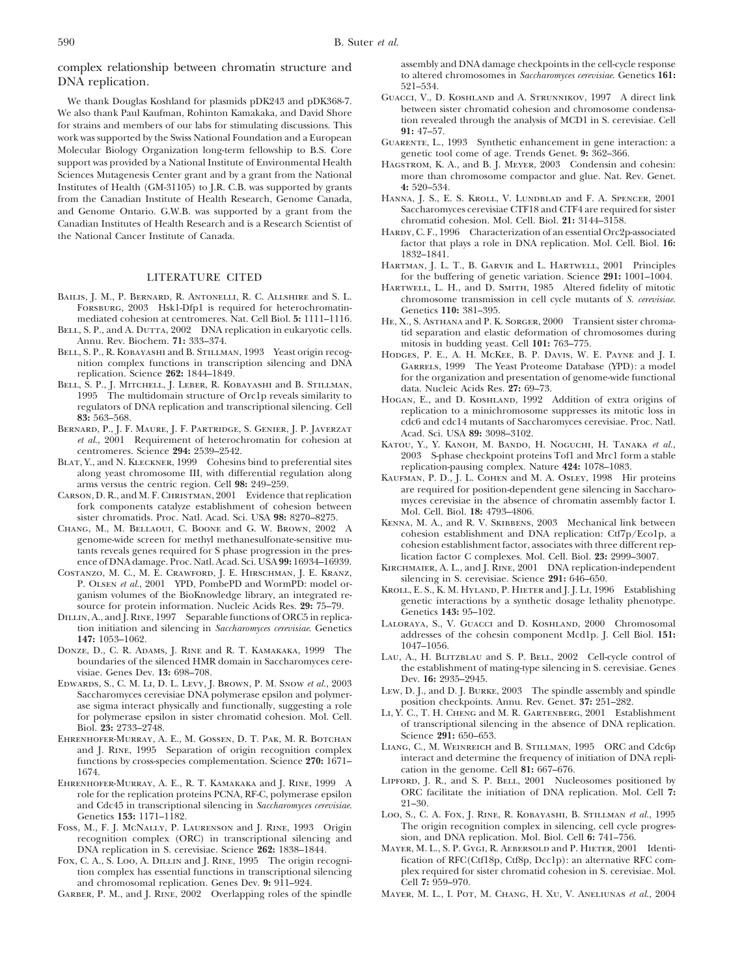We thank Douglas Koshland for plasmids pDK243 and pDK368-7. GUACCI, V., D. KOSHLAND and A. STRUNNIKOV, 1997 A direct link<br>We also thank Paul Kaufman, Rohinton Kamakaka, and David Shore between sister chromatid cohesion and We also thank Paul Kaufman, Rohinton Kamakaka, and David Shore<br>for strains and members of our labs for stimulating discussions. This<br>work was supported by the Swiss National Foundation and a European<br>Molecular Biology Orga support was provided by a National Institute of Environmental Health HAGSTROM, K. A., and B. J. MEYER, 2003 Condensin and cohesin:<br>Sciences Mutagenesis Center grant and by a grant from the National more than chromosome com Institutes of Health (GM-31105) to J.R. C.B. was supported by grants **4:** 520–534.<br> **4:** 520–534. **1: 620** F. A. SPENCER, 2001 Comment of Health Research, Genome Canada, HANNA, J. S., E. S. KROLL, V. LUNDBLAD and F. A. S from the Canadian Institute of Health Research, Genome Canada, HANNA, J. S., E. S. KROLL, V. LUNDBLAD and F. A. SPENCER, 2001<br>and Genome Ontario, G.W.B. was supported by a grant from the Saccharomyces cerevisiae CTF18 and and Genome Ontario. G.W.B. was supported by a grant from the Saccharomyces cerevisiae CTF18 and CTF4 are required for significant content of significant contential contesion. Mol. Cell. Biol. 21: 3144–3158. Canadian Institutes of Health Research and is a Research Scientist of Hardy, C. F., 1996 Characterization of an essential Orc2p-associated the National Cancer Institute of Canada.

- BAILIS, J. M., P. BERNARD, R. ANTONELLI, R. C. ALLSHIRE and S. L.<br>FORSBURG, 2003 Hsk1-Dfp1 is required for heterochromatin-<br>mediated cohesion at centromeres. Nat. Cell Biol. 5: 1111-1116. HEX S. ASTHANA and P. K. SOPGER 20
- 
- 
- 
- 
- 
- 
- 
- 
- 
- 
- visiae. Genes Dev. 13: 698–708.<br>
EDWARDS, S., C. M. LI, D. L. LEVY, J. BROWN, P. M. SNOW *et al.*, 2003<br>
Saccharomyces cerevisiae DNA polymerase epsilon and polymer-<br>
Saccharomyces cerevisiae DNA polymerase epsilon and pol
- EHRENHOFER-MURRAY, A. E., M. GOSSEN, D. T. PAR, M. R. BOTCHAN<br>and J. RINE, 1995 Separation of origin recognition complex<br>functions by cross-species complementation. Science 270: 1671-<br>1674.<br>EHRENHOFFR-MURRAY. A. E., R. T.
- role for the replication proteins PCNA, RF-C, polymerase epsilon ORC<br>and Cdc45 in transcriptional silencing in *Saccharemyees exercising* 21–30 and Cdc45 in transcriptional silencing in *Saccharomyces cerevisiae*.
- Foss, M., F. J. McNaLLy, P. Laurenson and J. Rine, 1993 Origin The origin recognition complex in silencing, cell cycle recognition complex (ORC) in transcriptional silencing and sion, and DNA replication. Mol. Biol. Cell 6 recognition complex (ORC) in transcriptional silencing and DNA replication in S. cerevisiae. Science **262:** 1838–1844.
- tion complex has essential functions in transcriptional silencing plex required for single plex required for signal cohesion. Genes Dev. 9: 911-924. and chromosomal replication. Genes Dev. 9: 911–924.<br>GARBER, P. M., and J. RINE, 2002 Overlapping roles of the spindle

assembly and DNA damage checkpoints in the cell-cycle response<br>
DNA replication. 521–534.<br>
2014-534. Guacci, V., D. KOSHLAND and A. STRUNNIKOV, 1997 A direct link<br>
DNA replication. 521–534. Guacci, V., D. KOSHLAND and A. S

- 
- 
- more than chromosome compactor and glue. Nat. Rev. Genet.<br>4: 520-534.
- 
- factor that plays a role in DNA replication. Mol. Cell. Biol. **16:** 1832–1841.
- Hartman, J. L. T., B. Garvik and L. Hartwell, 2001 Principles LITERATURE CITED for the buffering of genetic variation. Science 291: 1001–1004.<br>HARTWELL, L. H., and D. SMITH, 1985 Altered fidelity of mitotic
	-
- HE, X., S. AsTHANA and P. K. SORGER, 2000 Transient sister chroma-BELL, S. P., and A. Dutta, 2002 DNA replication in eukaryotic cells.<br>Annu. Rev. Biochem. **71:** 333–374.<br>BELL, S. P., R. KOBAYASHI and B. STILLMAN, 1993 Yeast origin recog-<br>HODGES, P. E., A. H. MCKEE, B. P. DAVIS, W. E. PAY
- nition complex functions in transcription silencing and DNA<br>
replication. Science 262: 1844–1849.<br>
BELL, S. P., J. MITCHELL, J. LEBER, R. KOBAYASHI and B. STILLMAN,<br>
1995 The multidomain structure of Orc1p reveals similari
	-
	-
- 1993 The multidiomina structure of Orch preveals smilarity to Hocavi, E., and D. Kosmickon's degities of DKA replication and transcriptional silencing. Cell<br>
ergulators of SERNARD, P., F. F. ANTERISTOR, S. GENITE, J. F. J
	-
	-
	-
	-
	-
	-
	-
	-
- EHRENHOFER-MURRAY, A. E., R. T. KAMAKAKA and J. RINE, 1999 A LIPFORD, J. R., and S. P. BELL, 2001 Nucleosomes positioned by -<br>-Murray, A. E., R. T. Kamakaka and J. Rine, 1999 A -Murray, J. R., and S. P. BELL, 2001 Nucleoso
	- Genetics 153: 1171–1182.<br>
	5. M., F. J. McNally, P. Laurenson and J. Rine, 1993 Origin The origin recognition complex in silencing, cell cycle progres-
- MAYER, M. L., S. P. GYGI, R. AEBERSOLD and P. HIETER, 2001 Identi-<br>fication of RFC(Ctf18p, Ctf8p, Dcc1p): an alternative RFC com-Fox, C. A., S. Loo, A. DILLIN and J. RINE, 1995 The origin recogni-<br>
tion complex has essential functions in transcriptional silencing<br>

plex required for sister chromatid cohesion in S. cerevisiae. Mol.
	- MAYER, M. L., I. POT, M. CHANG, H. XU, V. ANELIUNAS et al., 2004